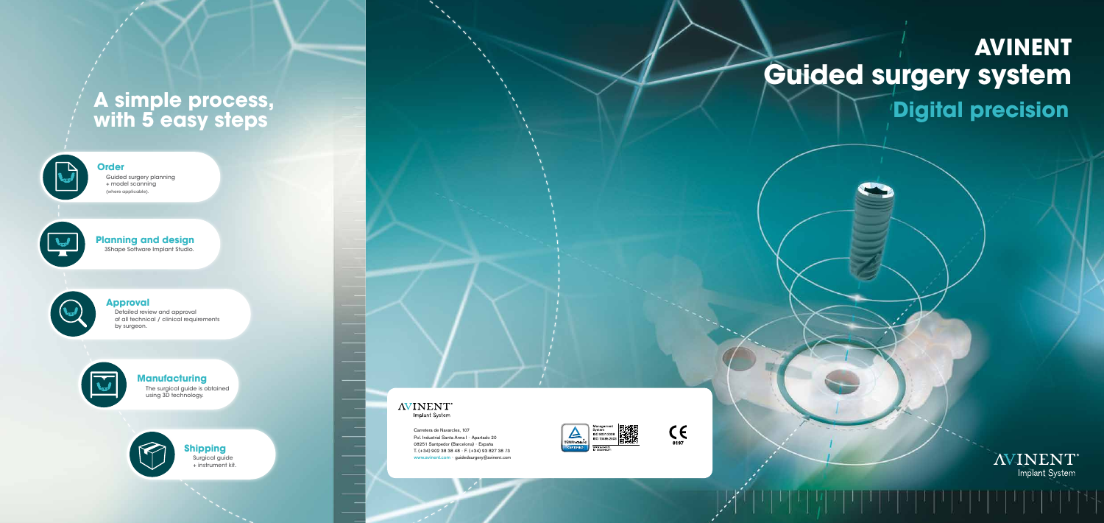# **Guided surgery system AVINENT Digital precision**





**AVINENT**\* Implant System

Carretera de Navarcles, 107 Pol. Industrial Santa Anna I - Apartado 20 08251 Santpedor (Barcelona) - España T. (+34) 902 38 38 48 - F. (+34) 93 827 38 73 www.avinent.com - guidedsurgery@avinent.com

 $\mathcal{L}_{\mathcal{A}}$ 

### **Manufacturing**

The surgical guide is obtained using 3D technology.

# **A simple process, with 5 easy steps**





**AVINENT** Implant System

Surgical guide + instrument kit.

## **Order**

Guided surgery planning + model scanning (where applicable).



## **Planning and design**

3Shape Software Implant Studio.



### **Approval**

Detailed review and approval of all technical / clinical requirements by surgeon.